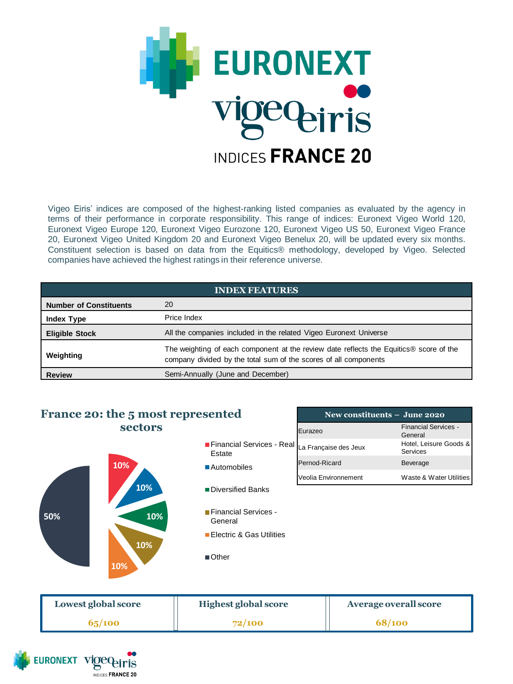

Vigeo Eiris' indices are composed of the highest-ranking listed companies as evaluated by the agency in terms of their performance in corporate responsibility. This range of indices: Euronext Vigeo World 120, Euronext Vigeo Europe 120, Euronext Vigeo Eurozone 120, Euronext Vigeo US 50, Euronext Vigeo France 20, Euronext Vigeo United Kingdom 20 and Euronext Vigeo Benelux 20, will be updated every six months. Constituent selection is based on data from the Equitics® methodology, developed by Vigeo. Selected companies have achieved the highest ratings in their reference universe.

| <b>INDEX FEATURES</b>         |                                                                                                                                                            |  |  |  |
|-------------------------------|------------------------------------------------------------------------------------------------------------------------------------------------------------|--|--|--|
| <b>Number of Constituents</b> | 20                                                                                                                                                         |  |  |  |
| <b>Index Type</b>             | Price Index                                                                                                                                                |  |  |  |
| <b>Eligible Stock</b>         | All the companies included in the related Vigeo Euronext Universe                                                                                          |  |  |  |
| Weighting                     | The weighting of each component at the review date reflects the Equitics® score of the<br>company divided by the total sum of the scores of all components |  |  |  |
| <b>Review</b>                 | Semi-Annually (June and December)                                                                                                                          |  |  |  |

## **France 20: the 5 most represented sectors**



|    | New constituents $-$ June 2020 |                                        |  |  |
|----|--------------------------------|----------------------------------------|--|--|
|    | Eurazeo                        | <b>Financial Services -</b><br>General |  |  |
| al | La Française des Jeux          | Hotel, Leisure Goods &<br>Services     |  |  |
|    | Pernod-Ricard                  | Beverage                               |  |  |
|    | Veolia Environnement           | Waste & Water Utilities                |  |  |

| Lowest global score | <b>Highest global score</b> | Average overall score |
|---------------------|-----------------------------|-----------------------|
| 65/100              | 72/100                      | 68/100                |